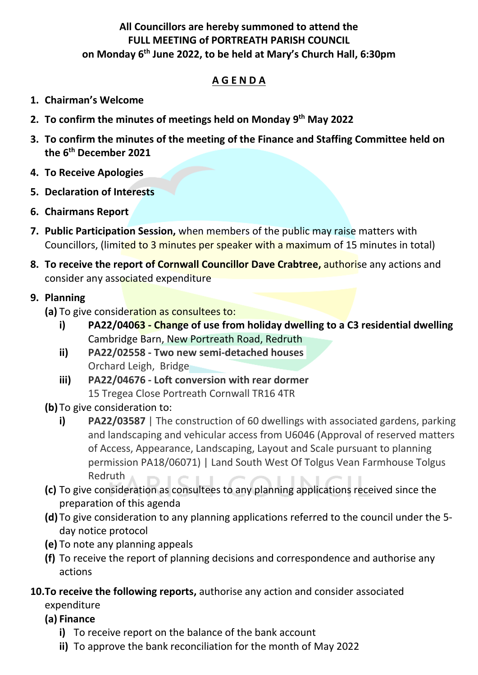## **All Councillors are hereby summoned to attend the FULL MEETING of PORTREATH PARISH COUNCIL on Monday 6 th June 2022, to be held at Mary's Church Hall, 6:30pm**

## **A G E N D A**

- **1. Chairman's Welcome**
- **2. To confirm the minutes of meetings held on Monday 9 th May 2022**
- **3. To confirm the minutes of the meeting of the Finance and Staffing Committee held on the 6th December 2021**
- **4. To Receive Apologies**
- **5. Declaration of Interests**
- **6. Chairmans Report**
- **7. Public Participation Session,** when members of the public may raise matters with Councillors, (limited to 3 minutes per speaker with a maximum of 15 minutes in total)
- **8. To receive the report of Cornwall Councillor Dave Crabtree,** authorise any actions and consider any associated expenditure

#### **9. Planning**

- **(a)** To give consideration as consultees to:
	- **i) PA22/04063 - Change of use from holiday dwelling to a C3 residential dwelling** Cambridge Barn, New Portreath Road, Redruth
	- **ii) PA22/02558 - Two new semi-detached houses** Orchard Leigh, Bridge
	- **iii) PA22/04676 - Loft conversion with rear dormer** 15 Tregea Close Portreath Cornwall TR16 4TR
- **(b)** To give consideration to:
	- **i) PA22/03587** | The construction of 60 dwellings with associated gardens, parking and landscaping and vehicular access from U6046 (Approval of reserved matters of Access, Appearance, Landscaping, Layout and Scale pursuant to planning permission PA18/06071) | Land South West Of Tolgus Vean Farmhouse Tolgus Redruth
- **(c)** To give consideration as consultees to any planning applications received since the preparation of this agenda
- **(d)** To give consideration to any planning applications referred to the council under the 5 day notice protocol
- **(e)** To note any planning appeals
- **(f)** To receive the report of planning decisions and correspondence and authorise any actions
- **10.To receive the following reports,** authorise any action and consider associated expenditure
	- **(a) Finance**
		- **i)** To receive report on the balance of the bank account
		- **ii)** To approve the bank reconciliation for the month of May 2022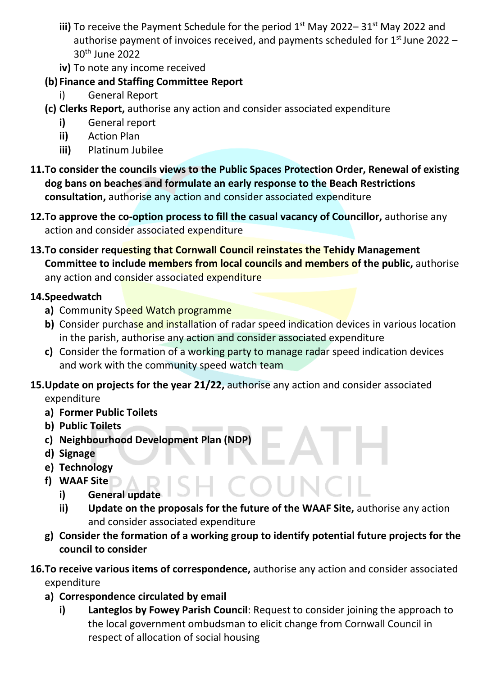- iii) To receive the Payment Schedule for the period 1<sup>st</sup> May 2022– 31<sup>st</sup> May 2022 and authorise payment of invoices received, and payments scheduled for 1<sup>st</sup> June 2022 -30 th June 2022
- **iv)** To note any income received

# **(b) Finance and Staffing Committee Report**

- i) General Report
- **(c) Clerks Report,** authorise any action and consider associated expenditure
	- **i)** General report
	- **ii)** Action Plan
	- **iii)** Platinum Jubilee
- **11.To consider the councils views to the Public Spaces Protection Order, Renewal of existing dog bans on beaches and formulate an early response to the Beach Restrictions consultation,** authorise any action and consider associated expenditure
- **12.To approve the co-option process to fill the casual vacancy of Councillor,** authorise any action and consider associated expenditure
- **13.To consider requesting that Cornwall Council reinstates the Tehidy Management Committee to include members from local councils and members of the public,** authorise any action and consider associated expenditure

# **14.Speedwatch**

- **a)** Community Speed Watch programme
- **b)** Consider purchase and installation of radar speed indication devices in various location in the parish, authorise any action and consider associated expenditure
- **c)** Consider the formation of a working party to manage radar speed indication devices and work with the community speed watch team
- **15.Update on projects for the year 21/22,** authorise any action and consider associated expenditure
	- **a) Former Public Toilets**
	- **b) Public Toilets**
	- **c) Neighbourhood Development Plan (NDP)**
	- **d) Signage**
	- **e) Technology**
	- **f) WAAF Site**
		- **i) General update**
		- **ii) Update on the proposals for the future of the WAAF Site,** authorise any action and consider associated expenditure
	- **g) Consider the formation of a working group to identify potential future projects for the council to consider**
- **16.To receive various items of correspondence,** authorise any action and consider associated expenditure
	- **a) Correspondence circulated by email**
		- **i) Lanteglos by Fowey Parish Council**: Request to consider joining the approach to the local government ombudsman to elicit change from Cornwall Council in respect of allocation of social housing